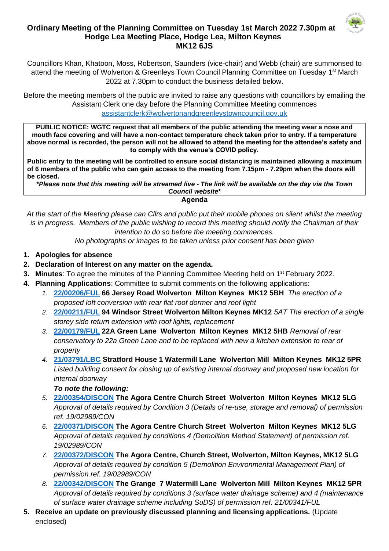## **Ordinary Meeting of the Planning Committee on Tuesday 1st March 2022 7.30pm at Hodge Lea Meeting Place, Hodge Lea, Milton Keynes MK12 6JS**



Councillors Khan, Khatoon, Moss, Robertson, Saunders (vice-chair) and Webb (chair) are summonsed to attend the meeting of Wolverton & Greenleys Town Council Planning Committee on Tuesday 1<sup>st</sup> March 2022 at 7.30pm to conduct the business detailed below.

Before the meeting members of the public are invited to raise any questions with councillors by emailing the Assistant Clerk one day before the Planning Committee Meeting commences [assistantclerk@wolvertonandgreenleystowncouncil.gov.uk](mailto:assistantclerk@wolvertonandgreenleystowncouncil.gov.uk)

**PUBLIC NOTICE: WGTC request that all members of the public attending the meeting wear a nose and mouth face covering and will have a non-contact temperature check taken prior to entry. If a temperature above normal is recorded, the person will not be allowed to attend the meeting for the attendee's safety and to comply with the venue's COVID policy.** 

**Public entry to the meeting will be controlled to ensure social distancing is maintained allowing a maximum of 6 members of the public who can gain access to the meeting from 7.15pm - 7.29pm when the doors will be closed.**

**\****Please note that this meeting will be streamed live - The link will be available on the day via the Town Council website***\* Agenda**

*At the start of the Meeting please can Cllrs and public put their mobile phones on silent whilst the meeting is in progress. Members of the public wishing to record this meeting should notify the Chairman of their intention to do so before the meeting commences.* 

*No photographs or images to be taken unless prior consent has been given*

- **1. Apologies for absence**
- **2. Declaration of Interest on any matter on the agenda.**
- **3. Minutes**: To agree the minutes of the Planning Committee Meeting held on 1<sup>st</sup> February 2022.
- **4. Planning Applications**: Committee to submit comments on the following applications:
	- *1.* **[22/00206/FUL](https://npaedms.milton-keynes.gov.uk/PublicAccess_Corplive/SearchResult/RunThirdPartySearch?FileSystemId=DC&FOLDER1_REF=22/00206/FUL) 66 Jersey Road Wolverton Milton Keynes MK12 5BH** *The erection of a proposed loft conversion with rear flat roof dormer and roof light*
	- *2.* **[22/00211/FUL](https://npaedms.milton-keynes.gov.uk/PublicAccess_Corplive/SearchResult/RunThirdPartySearch?FileSystemId=DC&FOLDER1_REF=22/00211/FUL) 94 Windsor Street Wolverton Milton Keynes MK12** *5AT The erection of a single storey side return extension with roof lights, replacement*
	- *3.* **[22/00179/FUL](https://npaedms.milton-keynes.gov.uk/PublicAccess_Corplive/SearchResult/RunThirdPartySearch?FileSystemId=DC&FOLDER1_REF=22/00179/FUL) 22A Green Lane Wolverton Milton Keynes MK12 5HB** *Removal of rear conservatory to 22a Green Lane and to be replaced with new a kitchen extension to rear of property*
	- *4.* **[21/03791/LBC](https://npaedms.milton-keynes.gov.uk/PublicAccess_Corplive/SearchResult/RunThirdPartySearch?FileSystemId=DC&FOLDER1_REF=21/03791/LBC) Stratford House 1 Watermill Lane Wolverton Mill Milton Keynes MK12 5PR** *Listed building consent for closing up of existing internal doorway and proposed new location for internal doorway*

*To note the following:*

- *5.* **[22/00354/DISCON](https://npaedms.milton-keynes.gov.uk/PublicAccess_Corplive/SearchResult/RunThirdPartySearch?FileSystemId=DC&FOLDER1_REF=22/00354/DISCON) The Agora Centre Church Street Wolverton Milton Keynes MK12 5LG** *Approval of details required by Condition 3 (Details of re-use, storage and removal) of permission ref. 19/02989/CON*
- *6.* **[22/00371/DISCON](https://npaedms.milton-keynes.gov.uk/PublicAccess_Corplive/SearchResult/RunThirdPartySearch?FileSystemId=DC&FOLDER1_REF=22/00371/DISCON) The Agora Centre Church Street Wolverton Milton Keynes MK12 5LG** *Approval of details required by conditions 4 (Demolition Method Statement) of permission ref. 19/02989/CON*
- *7.* **[22/00372/DISCON](https://npaedms.milton-keynes.gov.uk/PublicAccess_Corplive/SearchResult/RunThirdPartySearch?FileSystemId=DC&FOLDER1_REF=22/00372/DISCON) The Agora Centre, Church Street, Wolverton, Milton Keynes, MK12 5LG** *Approval of details required by condition 5 (Demolition Environmental Management Plan) of permission ref. 19/02989/CON*
- *8.* **[22/00342/DISCON](https://npaedms.milton-keynes.gov.uk/PublicAccess_Corplive/SearchResult/RunThirdPartySearch?FileSystemId=DC&FOLDER1_REF=22/00342/DISCON) The Grange 7 Watermill Lane Wolverton Mill Milton Keynes MK12 5PR**  *Approval of details required by conditions 3 (surface water drainage scheme) and 4 (maintenance of surface water drainage scheme including SuDS) of permission ref. 21/00341/FUL*
- **5. Receive an update on previously discussed planning and licensing applications.** (Update enclosed)